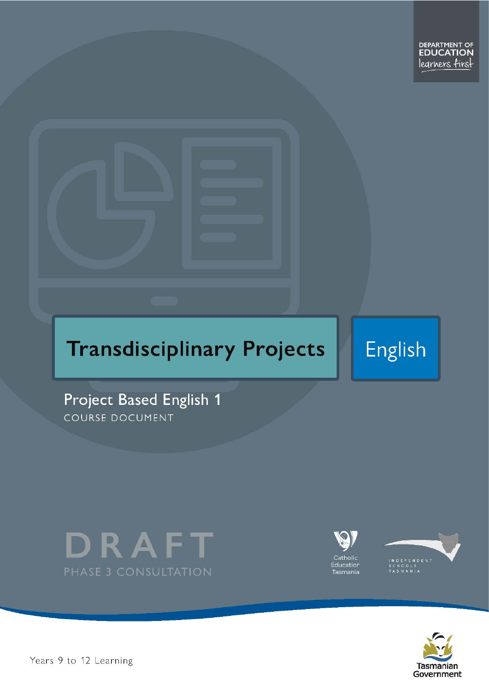

# **Transdisciplinary Projects**

English

Project Based English 1 COURSE DOCUMENT









Years 9 to 12 Learning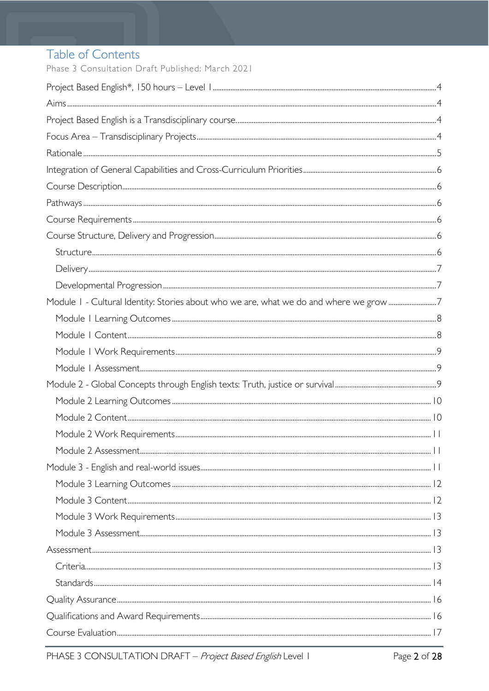# Table of Contents

Phase 3 Consultation Draft Published: March 2021 

| Module I - Cultural Identity: Stories about who we are, what we do and where we grow 7 |
|----------------------------------------------------------------------------------------|
|                                                                                        |
|                                                                                        |
|                                                                                        |
|                                                                                        |
|                                                                                        |
|                                                                                        |
|                                                                                        |
|                                                                                        |
|                                                                                        |
|                                                                                        |
|                                                                                        |
|                                                                                        |
|                                                                                        |
|                                                                                        |
|                                                                                        |
|                                                                                        |
|                                                                                        |
|                                                                                        |
|                                                                                        |
|                                                                                        |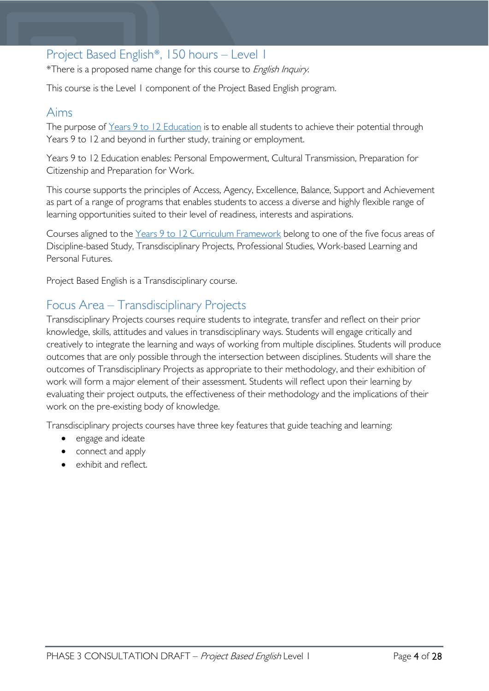# <span id="page-3-0"></span>Project Based English\*, 150 hours – Level 1

\*There is a proposed name change for this course to English Inquiry.

This course is the Level 1 component of the Project Based English program.

# <span id="page-3-1"></span>Aims

The purpose of Years 9 to 12 [Education](https://publicdocumentcentre.education.tas.gov.au/library/Shared%20Documents/Years-9-to-12-Education-Framework.pdf) is to enable all students to achieve their potential through Years 9 to 12 and beyond in further study, training or employment.

Years 9 to 12 Education enables: Personal Empowerment, Cultural Transmission, Preparation for Citizenship and Preparation for Work.

This course supports the principles of Access, Agency, Excellence, Balance, Support and Achievement as part of a range of programs that enables students to access a diverse and highly flexible range of learning opportunities suited to their level of readiness, interests and aspirations.

Courses aligned to the Years 9 to 12 Curriculum [Framework](https://publicdocumentcentre.education.tas.gov.au/library/Shared%20Documents/Education%209-12%20Frameworks%20A3%20WEB%20POSTER.pdf) belong to one of the five focus areas of Discipline-based Study, Transdisciplinary Projects, Professional Studies, Work-based Learning and Personal Futures.

<span id="page-3-2"></span>Project Based English is a Transdisciplinary course.

# <span id="page-3-3"></span>Focus Area – Transdisciplinary Projects

Transdisciplinary Projects courses require students to integrate, transfer and reflect on their prior knowledge, skills, attitudes and values in transdisciplinary ways. Students will engage critically and creatively to integrate the learning and ways of working from multiple disciplines. Students will produce outcomes that are only possible through the intersection between disciplines. Students will share the outcomes of Transdisciplinary Projects as appropriate to their methodology, and their exhibition of work will form a major element of their assessment. Students will reflect upon their learning by evaluating their project outputs, the effectiveness of their methodology and the implications of their work on the pre-existing body of knowledge.

Transdisciplinary projects courses have three key features that guide teaching and learning:

- engage and ideate
- connect and apply
- exhibit and reflect.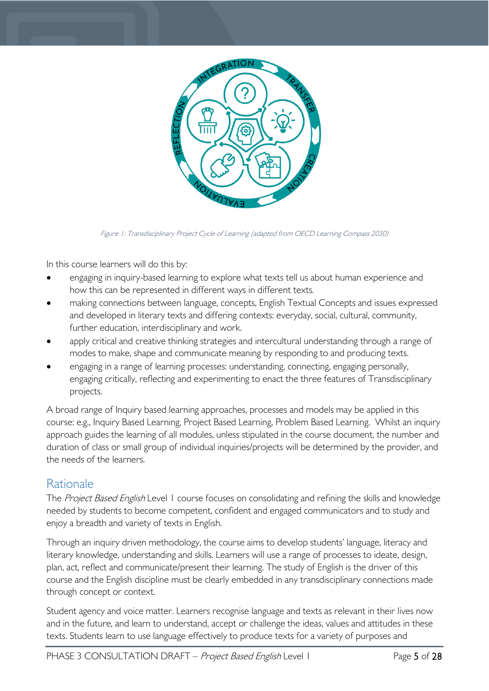

Figure 1: Transdisciplinary Project Cycle of Learning (adapted from OECD Learning Compass 2030)

In this course learners will do this by:

- engaging in inquiry-based learning to explore what texts tell us about human experience and how this can be represented in different ways in different texts.
- making connections between language, concepts, English Textual Concepts and issues expressed and developed in literary texts and differing contexts: everyday, social, cultural, community, further education, interdisciplinary and work.
- apply critical and creative thinking strategies and intercultural understanding through a range of modes to make, shape and communicate meaning by responding to and producing texts.
- engaging in a range of learning processes: understanding, connecting, engaging personally, engaging critically, reflecting and experimenting to enact the three features of Transdisciplinary projects.

A broad range of Inquiry based learning approaches, processes and models may be applied in this course: e.g., Inquiry Based Learning, Project Based Learning, Problem Based Learning. Whilst an inquiry approach guides the learning of all modules, unless stipulated in the course document, the number and duration of class or small group of individual inquiries/projects will be determined by the provider, and the needs of the learners.

# <span id="page-4-0"></span>Rationale

The Project Based English Level 1 course focuses on consolidating and refining the skills and knowledge needed by students to become competent, confident and engaged communicators and to study and enjoy a breadth and variety of texts in English.

Through an inquiry driven methodology, the course aims to develop students' language, literacy and literary knowledge, understanding and skills. Learners will use a range of processes to ideate, design, plan, act, reflect and communicate/present their learning. The study of English is the driver of this course and the English discipline must be clearly embedded in any transdisciplinary connections made through concept or context.

Student agency and voice matter. Learners recognise language and texts as relevant in their lives now and in the future, and learn to understand, accept or challenge the ideas, values and attitudes in these texts. Students learn to use language effectively to produce texts for a variety of purposes and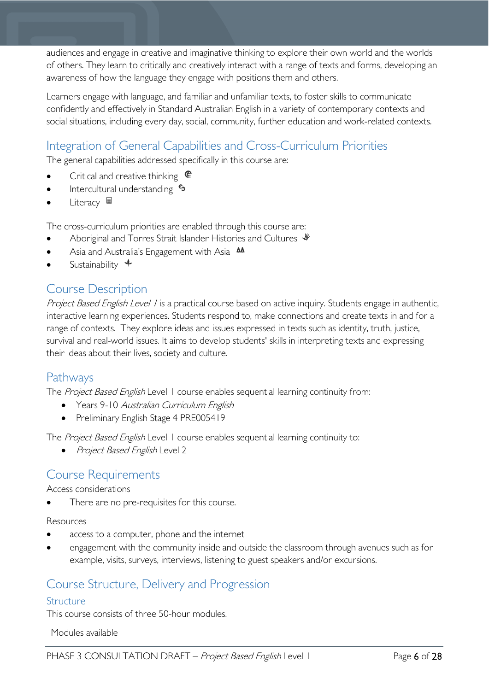audiences and engage in creative and imaginative thinking to explore their own world and the worlds of others. They learn to critically and creatively interact with a range of texts and forms, developing an awareness of how the language they engage with positions them and others.

Learners engage with language, and familiar and unfamiliar texts, to foster skills to communicate confidently and effectively in Standard Australian English in a variety of contemporary contexts and social situations, including every day, social, community, further education and work-related contexts.

# <span id="page-5-0"></span>Integration of General Capabilities and Cross-Curriculum Priorities

The general capabilities addressed specifically in this course are:

- Critical and creative thinking  $\mathbb{C}$
- **Intercultural understanding**  $\frac{c_3}{ }$
- Literacy <sup>■</sup>

The cross-curriculum priorities are enabled through this course are:

- Aboriginal and Torres Strait Islander Histories and Cultures  $\mathcal$
- Asia and Australia's Engagement with Asia **AA**
- Sustainability  $\triangleq$

# <span id="page-5-1"></span>Course Description

Project Based English Level / is a practical course based on active inquiry. Students engage in authentic, interactive learning experiences. Students respond to, make connections and create texts in and for a range of contexts. They explore ideas and issues expressed in texts such as identity, truth, justice, survival and real-world issues. It aims to develop students' skills in interpreting texts and expressing their ideas about their lives, society and culture.

# <span id="page-5-2"></span>Pathways

The Project Based English Level 1 course enables sequential learning continuity from:

- Years 9-10 Australian Curriculum English
- Preliminary English Stage 4 PRE005419

The Project Based English Level 1 course enables sequential learning continuity to:

• Project Based English Level 2

# <span id="page-5-3"></span>Course Requirements

Access considerations

There are no pre-requisites for this course.

#### Resources

- access to a computer, phone and the internet
- engagement with the community inside and outside the classroom through avenues such as for example, visits, surveys, interviews, listening to guest speakers and/or excursions.

# <span id="page-5-4"></span>Course Structure, Delivery and Progression

# <span id="page-5-5"></span>Structure

This course consists of three 50-hour modules.

Modules available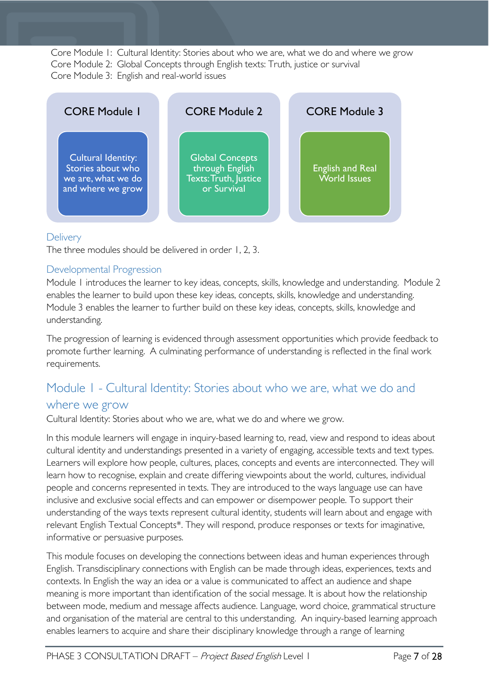Core Module 1: Cultural Identity: Stories about who we are, what we do and where we grow Core Module 2: Global Concepts through English texts: Truth, justice or survival Core Module 3: English and real-world issues



# <span id="page-6-0"></span>**Delivery**

The three modules should be delivered in order 1, 2, 3.

# <span id="page-6-1"></span>Developmental Progression

Module 1 introduces the learner to key ideas, concepts, skills, knowledge and understanding. Module 2 enables the learner to build upon these key ideas, concepts, skills, knowledge and understanding. Module 3 enables the learner to further build on these key ideas, concepts, skills, knowledge and understanding.

The progression of learning is evidenced through assessment opportunities which provide feedback to promote further learning. A culminating performance of understanding is reflected in the final work requirements.

# <span id="page-6-2"></span>Module 1 - Cultural Identity: Stories about who we are, what we do and where we grow

Cultural Identity: Stories about who we are, what we do and where we grow.

In this module learners will engage in inquiry-based learning to, read, view and respond to ideas about cultural identity and understandings presented in a variety of engaging, accessible texts and text types. Learners will explore how people, cultures, places, concepts and events are interconnected. They will learn how to recognise, explain and create differing viewpoints about the world, cultures, individual people and concerns represented in texts. They are introduced to the ways language use can have inclusive and exclusive social effects and can empower or disempower people. To support their understanding of the ways texts represent cultural identity, students will learn about and engage with relevant English Textual Concepts\*. They will respond, produce responses or texts for imaginative, informative or persuasive purposes.

This module focuses on developing the connections between ideas and human experiences through English. Transdisciplinary connections with English can be made through ideas, experiences, texts and contexts. In English the way an idea or a value is communicated to affect an audience and shape meaning is more important than identification of the social message. It is about how the relationship between mode, medium and message affects audience. Language, word choice, grammatical structure and organisation of the material are central to this understanding. An inquiry-based learning approach enables learners to acquire and share their disciplinary knowledge through a range of learning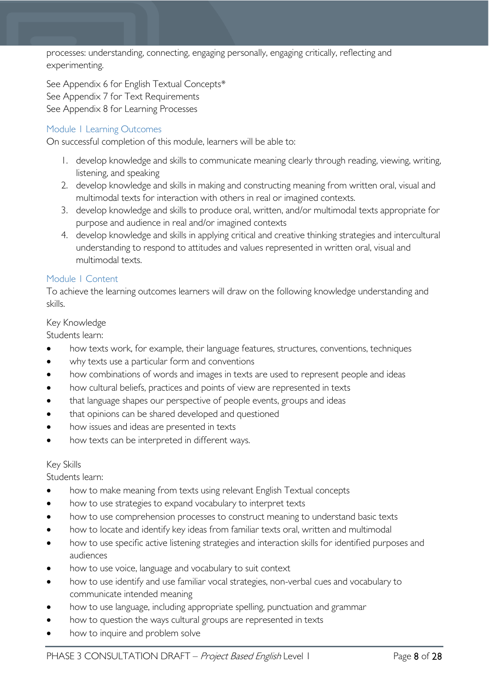processes: understanding, connecting, engaging personally, engaging critically, reflecting and experimenting.

See Appendix 6 for English Textual Concepts\* See Appendix 7 for Text Requirements See Appendix 8 for Learning Processes

# <span id="page-7-0"></span>Module 1 Learning Outcomes

On successful completion of this module, learners will be able to:

- 1. develop knowledge and skills to communicate meaning clearly through reading, viewing, writing, listening, and speaking
- 2. develop knowledge and skills in making and constructing meaning from written oral, visual and multimodal texts for interaction with others in real or imagined contexts.
- 3. develop knowledge and skills to produce oral, written, and/or multimodal texts appropriate for purpose and audience in real and/or imagined contexts
- 4. develop knowledge and skills in applying critical and creative thinking strategies and intercultural understanding to respond to attitudes and values represented in written oral, visual and multimodal texts.

### <span id="page-7-1"></span>Module 1 Content

To achieve the learning outcomes learners will draw on the following knowledge understanding and skills.

### Key Knowledge

Students learn:

- how texts work, for example, their language features, structures, conventions, techniques
- why texts use a particular form and conventions
- how combinations of words and images in texts are used to represent people and ideas
- how cultural beliefs, practices and points of view are represented in texts
- that language shapes our perspective of people events, groups and ideas
- that opinions can be shared developed and questioned
- how issues and ideas are presented in texts
- how texts can be interpreted in different ways.

#### Key Skills

Students learn:

- how to make meaning from texts using relevant English Textual concepts
- how to use strategies to expand vocabulary to interpret texts
- how to use comprehension processes to construct meaning to understand basic texts
- how to locate and identify key ideas from familiar texts oral, written and multimodal
- how to use specific active listening strategies and interaction skills for identified purposes and audiences
- how to use voice, language and vocabulary to suit context
- how to use identify and use familiar vocal strategies, non-verbal cues and vocabulary to communicate intended meaning
- how to use language, including appropriate spelling, punctuation and grammar
- how to question the ways cultural groups are represented in texts
- how to inquire and problem solve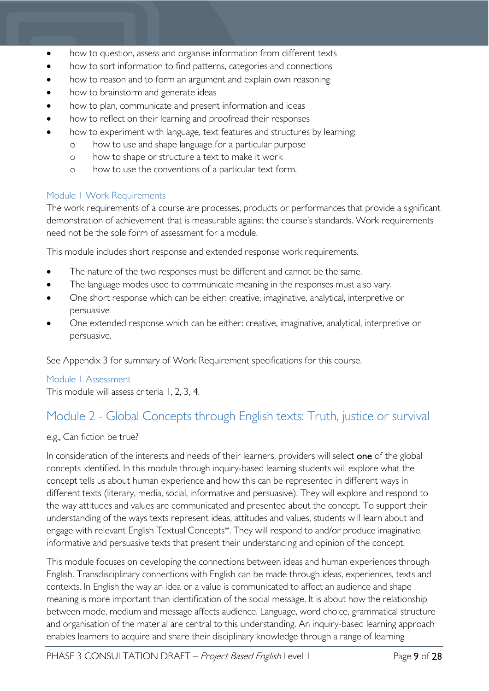- how to question, assess and organise information from different texts
- how to sort information to find patterns, categories and connections
- how to reason and to form an argument and explain own reasoning
- how to brainstorm and generate ideas
- how to plan, communicate and present information and ideas
- how to reflect on their learning and proofread their responses
- how to experiment with language, text features and structures by learning:
	- o how to use and shape language for a particular purpose
	- o how to shape or structure a text to make it work
	- o how to use the conventions of a particular text form.

### <span id="page-8-0"></span>Module 1 Work Requirements

The work requirements of a course are processes, products or performances that provide a significant demonstration of achievement that is measurable against the course's standards. Work requirements need not be the sole form of assessment for a module.

This module includes short response and extended response work requirements.

- The nature of the two responses must be different and cannot be the same.
- The language modes used to communicate meaning in the responses must also vary.
- One short response which can be either: creative, imaginative, analytical, interpretive or persuasive
- One extended response which can be either: creative, imaginative, analytical, interpretive or persuasive.

See Appendix 3 for summary of Work Requirement specifications for this course.

#### <span id="page-8-1"></span>Module 1 Assessment

This module will assess criteria 1, 2, 3, 4.

# <span id="page-8-2"></span>Module 2 - Global Concepts through English texts: Truth, justice or survival

#### e.g., Can fiction be true?

In consideration of the interests and needs of their learners, providers will select one of the global concepts identified. In this module through inquiry-based learning students will explore what the concept tells us about human experience and how this can be represented in different ways in different texts (literary, media, social, informative and persuasive). They will explore and respond to the way attitudes and values are communicated and presented about the concept. To support their understanding of the ways texts represent ideas, attitudes and values, students will learn about and engage with relevant English Textual Concepts\*. They will respond to and/or produce imaginative, informative and persuasive texts that present their understanding and opinion of the concept.

This module focuses on developing the connections between ideas and human experiences through English. Transdisciplinary connections with English can be made through ideas, experiences, texts and contexts. In English the way an idea or a value is communicated to affect an audience and shape meaning is more important than identification of the social message. It is about how the relationship between mode, medium and message affects audience. Language, word choice, grammatical structure and organisation of the material are central to this understanding. An inquiry-based learning approach enables learners to acquire and share their disciplinary knowledge through a range of learning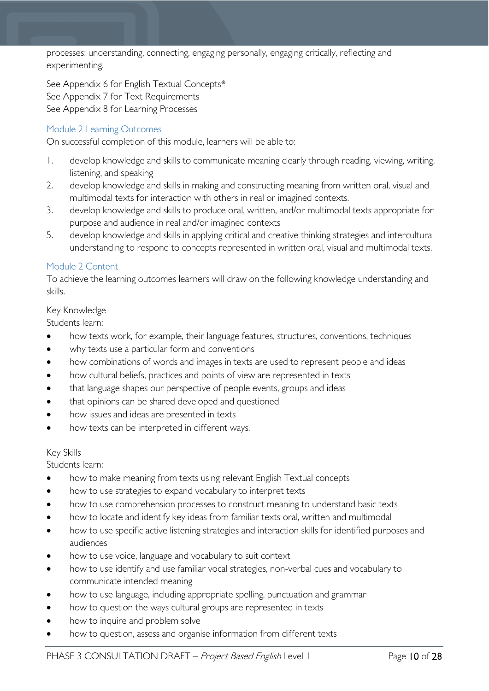processes: understanding, connecting, engaging personally, engaging critically, reflecting and experimenting.

See Appendix 6 for English Textual Concepts\* See Appendix 7 for Text Requirements See Appendix 8 for Learning Processes

# <span id="page-9-0"></span>Module 2 Learning Outcomes

On successful completion of this module, learners will be able to:

- 1. develop knowledge and skills to communicate meaning clearly through reading, viewing, writing, listening, and speaking
- 2. develop knowledge and skills in making and constructing meaning from written oral, visual and multimodal texts for interaction with others in real or imagined contexts.
- 3. develop knowledge and skills to produce oral, written, and/or multimodal texts appropriate for purpose and audience in real and/or imagined contexts
- 5. develop knowledge and skills in applying critical and creative thinking strategies and intercultural understanding to respond to concepts represented in written oral, visual and multimodal texts.

# <span id="page-9-1"></span>Module 2 Content

To achieve the learning outcomes learners will draw on the following knowledge understanding and skills.

### Key Knowledge

Students learn:

- how texts work, for example, their language features, structures, conventions, techniques
- why texts use a particular form and conventions
- how combinations of words and images in texts are used to represent people and ideas
- how cultural beliefs, practices and points of view are represented in texts
- that language shapes our perspective of people events, groups and ideas
- that opinions can be shared developed and questioned
- how issues and ideas are presented in texts
- how texts can be interpreted in different ways.

#### Key Skills

Students learn:

- how to make meaning from texts using relevant English Textual concepts
- how to use strategies to expand vocabulary to interpret texts
- how to use comprehension processes to construct meaning to understand basic texts
- how to locate and identify key ideas from familiar texts oral, written and multimodal
- how to use specific active listening strategies and interaction skills for identified purposes and audiences
- how to use voice, language and vocabulary to suit context
- how to use identify and use familiar vocal strategies, non-verbal cues and vocabulary to communicate intended meaning
- how to use language, including appropriate spelling, punctuation and grammar
- how to question the ways cultural groups are represented in texts
- how to inquire and problem solve
- how to question, assess and organise information from different texts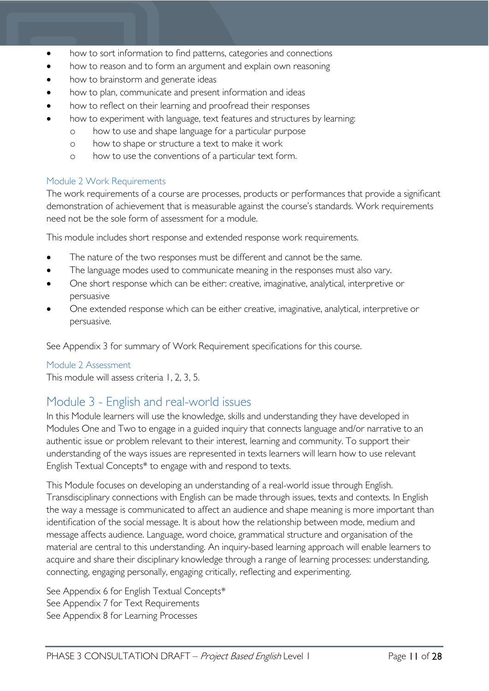- how to sort information to find patterns, categories and connections
- how to reason and to form an argument and explain own reasoning
- how to brainstorm and generate ideas
- how to plan, communicate and present information and ideas
- how to reflect on their learning and proofread their responses
- how to experiment with language, text features and structures by learning:
	- o how to use and shape language for a particular purpose
	- o how to shape or structure a text to make it work
	- o how to use the conventions of a particular text form.

#### <span id="page-10-0"></span>Module 2 Work Requirements

The work requirements of a course are processes, products or performances that provide a significant demonstration of achievement that is measurable against the course's standards. Work requirements need not be the sole form of assessment for a module.

This module includes short response and extended response work requirements.

- The nature of the two responses must be different and cannot be the same.
- The language modes used to communicate meaning in the responses must also vary.
- One short response which can be either: creative, imaginative, analytical, interpretive or persuasive
- One extended response which can be either creative, imaginative, analytical, interpretive or persuasive.

See Appendix 3 for summary of Work Requirement specifications for this course.

#### <span id="page-10-1"></span>Module 2 Assessment

This module will assess criteria 1, 2, 3, 5.

# <span id="page-10-2"></span>Module 3 - English and real-world issues

In this Module learners will use the knowledge, skills and understanding they have developed in Modules One and Two to engage in a guided inquiry that connects language and/or narrative to an authentic issue or problem relevant to their interest, learning and community. To support their understanding of the ways issues are represented in texts learners will learn how to use relevant English Textual Concepts\* to engage with and respond to texts.

This Module focuses on developing an understanding of a real-world issue through English. Transdisciplinary connections with English can be made through issues, texts and contexts. In English the way a message is communicated to affect an audience and shape meaning is more important than identification of the social message. It is about how the relationship between mode, medium and message affects audience. Language, word choice, grammatical structure and organisation of the material are central to this understanding. An inquiry-based learning approach will enable learners to acquire and share their disciplinary knowledge through a range of learning processes: understanding, connecting, engaging personally, engaging critically, reflecting and experimenting.

See Appendix 6 for English Textual Concepts\* See Appendix 7 for Text Requirements See Appendix 8 for Learning Processes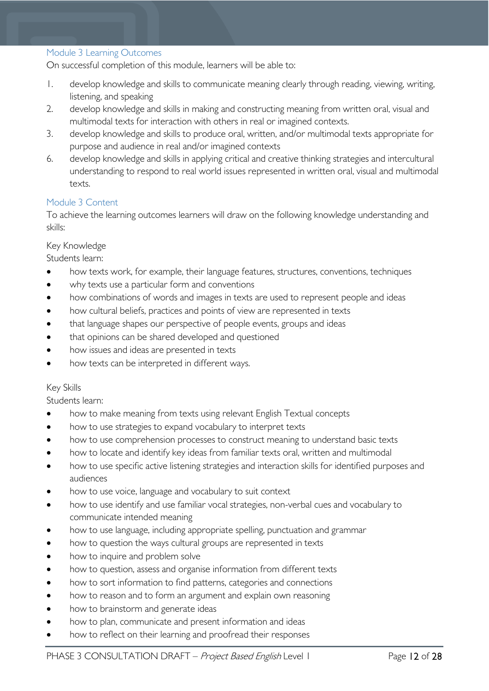#### <span id="page-11-0"></span>Module 3 Learning Outcomes

On successful completion of this module, learners will be able to:

- 1. develop knowledge and skills to communicate meaning clearly through reading, viewing, writing, listening, and speaking
- 2. develop knowledge and skills in making and constructing meaning from written oral, visual and multimodal texts for interaction with others in real or imagined contexts.
- 3. develop knowledge and skills to produce oral, written, and/or multimodal texts appropriate for purpose and audience in real and/or imagined contexts
- 6. develop knowledge and skills in applying critical and creative thinking strategies and intercultural understanding to respond to real world issues represented in written oral, visual and multimodal texts.

#### <span id="page-11-1"></span>Module 3 Content

To achieve the learning outcomes learners will draw on the following knowledge understanding and skills:

#### Key Knowledge

Students learn:

- how texts work, for example, their language features, structures, conventions, techniques
- why texts use a particular form and conventions
- how combinations of words and images in texts are used to represent people and ideas
- how cultural beliefs, practices and points of view are represented in texts
- that language shapes our perspective of people events, groups and ideas
- that opinions can be shared developed and questioned
- how issues and ideas are presented in texts
- how texts can be interpreted in different ways.

#### Key Skills

Students learn:

- how to make meaning from texts using relevant English Textual concepts
- how to use strategies to expand vocabulary to interpret texts
- how to use comprehension processes to construct meaning to understand basic texts
- how to locate and identify key ideas from familiar texts oral, written and multimodal
- how to use specific active listening strategies and interaction skills for identified purposes and audiences
- how to use voice, language and vocabulary to suit context
- how to use identify and use familiar vocal strategies, non-verbal cues and vocabulary to communicate intended meaning
- how to use language, including appropriate spelling, punctuation and grammar
- how to question the ways cultural groups are represented in texts
- how to inquire and problem solve
- how to question, assess and organise information from different texts
- how to sort information to find patterns, categories and connections
- how to reason and to form an argument and explain own reasoning
- how to brainstorm and generate ideas
- how to plan, communicate and present information and ideas
- how to reflect on their learning and proofread their responses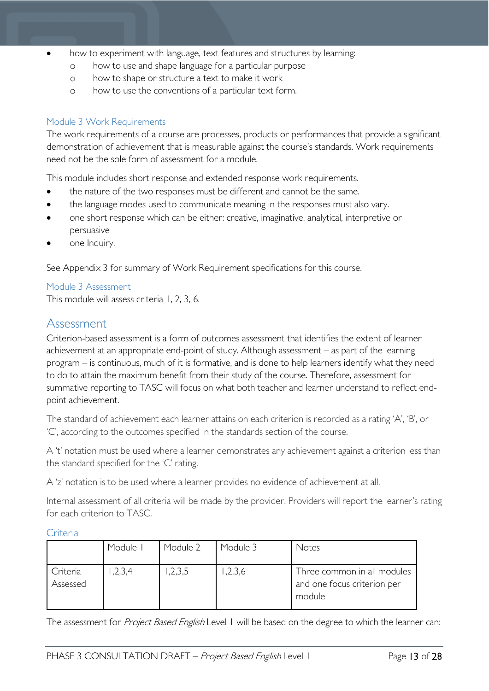- how to experiment with language, text features and structures by learning:
	- o how to use and shape language for a particular purpose
	- o how to shape or structure a text to make it work
	- o how to use the conventions of a particular text form.

#### <span id="page-12-0"></span>Module 3 Work Requirements

The work requirements of a course are processes, products or performances that provide a significant demonstration of achievement that is measurable against the course's standards. Work requirements need not be the sole form of assessment for a module.

This module includes short response and extended response work requirements.

- the nature of the two responses must be different and cannot be the same.
- the language modes used to communicate meaning in the responses must also vary.
- one short response which can be either: creative, imaginative, analytical, interpretive or persuasive
- one Inquiry.

See Appendix 3 for summary of Work Requirement specifications for this course.

#### <span id="page-12-1"></span>Module 3 Assessment

This module will assess criteria 1, 2, 3, 6.

# <span id="page-12-2"></span>Assessment

Criterion-based assessment is a form of outcomes assessment that identifies the extent of learner achievement at an appropriate end-point of study. Although assessment – as part of the learning program – is continuous, much of it is formative, and is done to help learners identify what they need to do to attain the maximum benefit from their study of the course. Therefore, assessment for summative reporting to TASC will focus on what both teacher and learner understand to reflect endpoint achievement.

The standard of achievement each learner attains on each criterion is recorded as a rating 'A', 'B', or 'C', according to the outcomes specified in the standards section of the course.

A 't' notation must be used where a learner demonstrates any achievement against a criterion less than the standard specified for the 'C' rating.

A 'z' notation is to be used where a learner provides no evidence of achievement at all.

Internal assessment of all criteria will be made by the provider. Providers will report the learner's rating for each criterion to TASC.

#### <span id="page-12-3"></span>Criteria

|                      | Module  | Module 2 | Module 3 | Notes                                                                |
|----------------------|---------|----------|----------|----------------------------------------------------------------------|
| Criteria<br>Assessed | 1,2,3,4 | ,2,3,5   | ,2,3,6   | Three common in all modules<br>and one focus criterion per<br>module |

The assessment for Project Based English Level 1 will be based on the degree to which the learner can: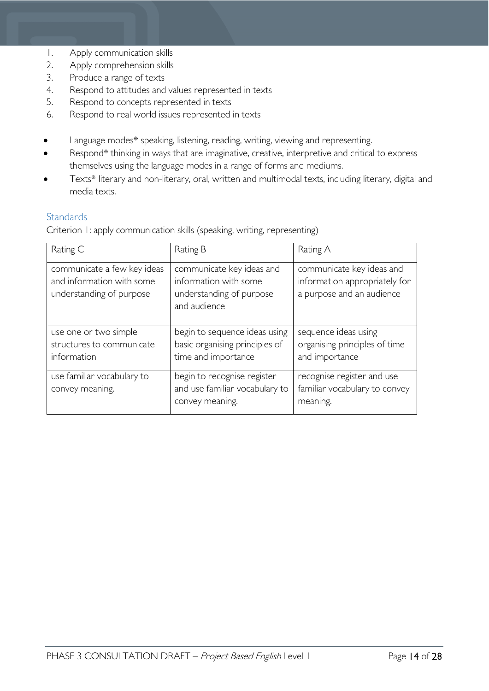- 1. Apply communication skills
- 2. Apply comprehension skills
- 3. Produce a range of texts
- 4. Respond to attitudes and values represented in texts
- 5. Respond to concepts represented in texts
- 6. Respond to real world issues represented in texts
- Language modes\* speaking, listening, reading, writing, viewing and representing.
- Respond\* thinking in ways that are imaginative, creative, interpretive and critical to express themselves using the language modes in a range of forms and mediums.
- Texts\* literary and non-literary, oral, written and multimodal texts, including literary, digital and media texts.

# <span id="page-13-0"></span>**Standards**

Criterion 1: apply communication skills (speaking, writing, representing)

| Rating C                                                                             | Rating B                                                                                       | Rating A                                                                                |
|--------------------------------------------------------------------------------------|------------------------------------------------------------------------------------------------|-----------------------------------------------------------------------------------------|
| communicate a few key ideas<br>and information with some<br>understanding of purpose | communicate key ideas and<br>information with some<br>understanding of purpose<br>and audience | communicate key ideas and<br>information appropriately for<br>a purpose and an audience |
| use one or two simple<br>structures to communicate<br>information                    | begin to sequence ideas using<br>basic organising principles of<br>time and importance         | sequence ideas using<br>organising principles of time<br>and importance                 |
| use familiar vocabulary to<br>convey meaning.                                        | begin to recognise register<br>and use familiar vocabulary to<br>convey meaning.               | recognise register and use<br>familiar vocabulary to convey<br>meaning.                 |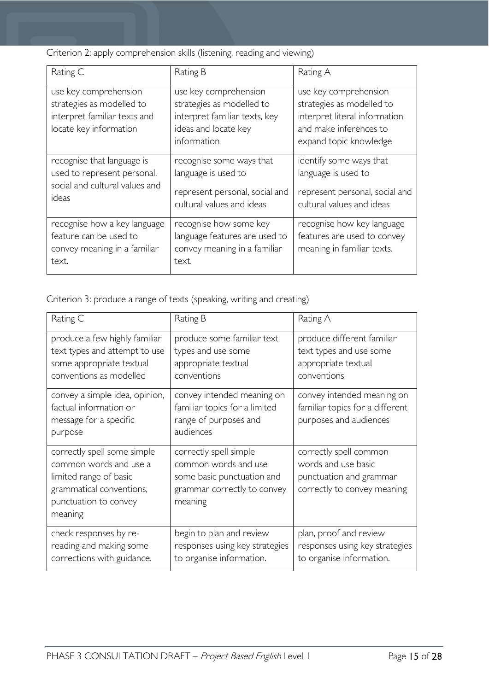Criterion 2: apply comprehension skills (listening, reading and viewing)

| Rating C                                                                                                     | Rating B                                                                                                                   | Rating A                                                                                                                                |
|--------------------------------------------------------------------------------------------------------------|----------------------------------------------------------------------------------------------------------------------------|-----------------------------------------------------------------------------------------------------------------------------------------|
| use key comprehension<br>strategies as modelled to<br>interpret familiar texts and<br>locate key information | use key comprehension<br>strategies as modelled to<br>interpret familiar texts, key<br>ideas and locate key<br>information | use key comprehension<br>strategies as modelled to<br>interpret literal information<br>and make inferences to<br>expand topic knowledge |
| recognise that language is<br>used to represent personal,<br>social and cultural values and<br>ideas         | recognise some ways that<br>language is used to<br>represent personal, social and<br>cultural values and ideas             | identify some ways that<br>language is used to<br>represent personal, social and<br>cultural values and ideas                           |
| recognise how a key language<br>feature can be used to<br>convey meaning in a familiar<br>text.              | recognise how some key<br>language features are used to<br>convey meaning in a familiar<br>text.                           | recognise how key language<br>features are used to convey<br>meaning in familiar texts.                                                 |

Criterion 3: produce a range of texts (speaking, writing and creating)

| Rating C                                                                                                                                        | Rating B                                                                                                               | Rating A                                                                                                |
|-------------------------------------------------------------------------------------------------------------------------------------------------|------------------------------------------------------------------------------------------------------------------------|---------------------------------------------------------------------------------------------------------|
| produce a few highly familiar<br>text types and attempt to use<br>some appropriate textual<br>conventions as modelled                           | produce some familiar text<br>types and use some<br>appropriate textual<br>conventions                                 | produce different familiar<br>text types and use some<br>appropriate textual<br>conventions             |
| convey a simple idea, opinion,<br>factual information or<br>message for a specific<br>purpose                                                   | convey intended meaning on<br>familiar topics for a limited<br>range of purposes and<br>audiences                      | convey intended meaning on<br>familiar topics for a different<br>purposes and audiences                 |
| correctly spell some simple<br>common words and use a<br>limited range of basic<br>grammatical conventions,<br>punctuation to convey<br>meaning | correctly spell simple<br>common words and use<br>some basic punctuation and<br>grammar correctly to convey<br>meaning | correctly spell common<br>words and use basic<br>punctuation and grammar<br>correctly to convey meaning |
| check responses by re-<br>reading and making some<br>corrections with guidance.                                                                 | begin to plan and review<br>responses using key strategies<br>to organise information.                                 | plan, proof and review<br>responses using key strategies<br>to organise information.                    |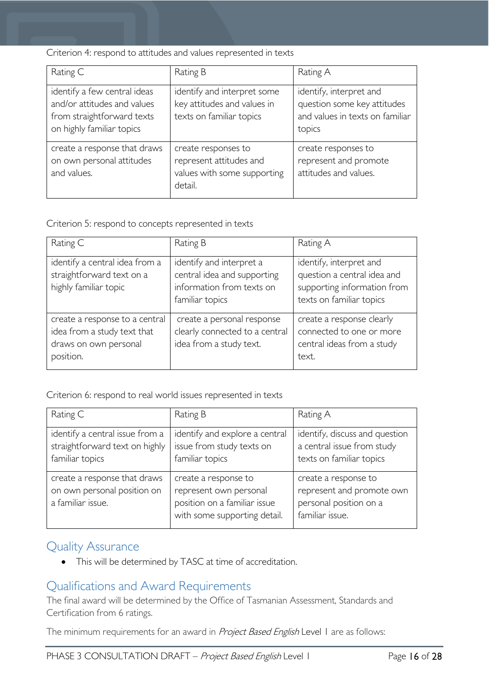Criterion 4: respond to attitudes and values represented in texts

| Rating C                                                                                                               | Rating B                                                                                 | Rating A                                                                                            |
|------------------------------------------------------------------------------------------------------------------------|------------------------------------------------------------------------------------------|-----------------------------------------------------------------------------------------------------|
| identify a few central ideas<br>and/or attitudes and values<br>from straightforward texts<br>on highly familiar topics | identify and interpret some<br>key attitudes and values in<br>texts on familiar topics   | identify, interpret and<br>question some key attitudes<br>and values in texts on familiar<br>topics |
| create a response that draws<br>on own personal attitudes<br>and values.                                               | create responses to<br>represent attitudes and<br>values with some supporting<br>detail. | create responses to<br>represent and promote<br>attitudes and values.                               |

Criterion 5: respond to concepts represented in texts

| Rating C                                                                                            | Rating B                                                                                                | Rating A                                                                                                          |
|-----------------------------------------------------------------------------------------------------|---------------------------------------------------------------------------------------------------------|-------------------------------------------------------------------------------------------------------------------|
| identify a central idea from a<br>straightforward text on a<br>highly familiar topic                | identify and interpret a<br>central idea and supporting<br>information from texts on<br>familiar topics | identify, interpret and<br>question a central idea and<br>supporting information from<br>texts on familiar topics |
| create a response to a central<br>idea from a study text that<br>draws on own personal<br>position. | create a personal response<br>clearly connected to a central<br>idea from a study text.                 | create a response clearly<br>connected to one or more<br>central ideas from a study<br>text.                      |

Criterion 6: respond to real world issues represented in texts

| Rating C                                                                             | Rating B                                                                                                       | Rating A                                                                                       |
|--------------------------------------------------------------------------------------|----------------------------------------------------------------------------------------------------------------|------------------------------------------------------------------------------------------------|
| identify a central issue from a<br>straightforward text on highly<br>familiar topics | identify and explore a central<br>issue from study texts on<br>familiar topics                                 | identify, discuss and question<br>a central issue from study<br>texts on familiar topics       |
| create a response that draws<br>on own personal position on<br>a familiar issue.     | create a response to<br>represent own personal<br>position on a familiar issue<br>with some supporting detail. | create a response to<br>represent and promote own<br>personal position on a<br>familiar issue. |

# <span id="page-15-0"></span>Quality Assurance

• This will be determined by TASC at time of accreditation.

# <span id="page-15-1"></span>Qualifications and Award Requirements

The final award will be determined by the Office of Tasmanian Assessment, Standards and Certification from 6 ratings.

The minimum requirements for an award in *Project Based English* Level 1 are as follows: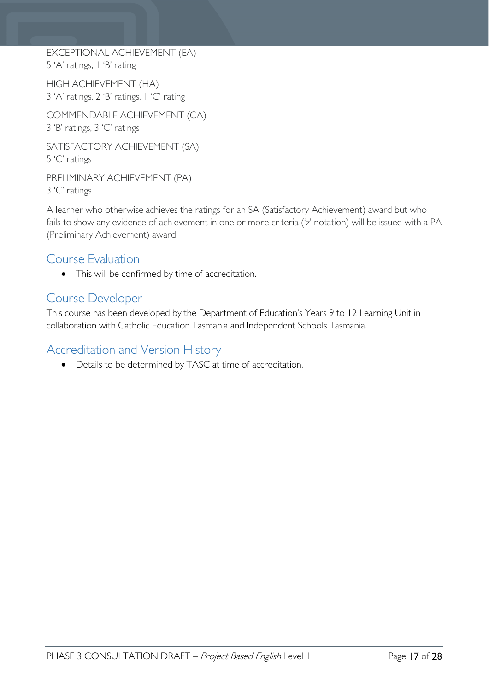EXCEPTIONAL ACHIEVEMENT (EA) 5 'A' ratings, 1 'B' rating

HIGH ACHIEVEMENT (HA) 3 'A' ratings, 2 'B' ratings, 1 'C' rating

COMMENDABLE ACHIEVEMENT (CA) 3 'B' ratings, 3 'C' ratings

SATISFACTORY ACHIEVEMENT (SA) 5 'C' ratings

PRELIMINARY ACHIEVEMENT (PA) 3 'C' ratings

A learner who otherwise achieves the ratings for an SA (Satisfactory Achievement) award but who fails to show any evidence of achievement in one or more criteria ('z' notation) will be issued with a PA (Preliminary Achievement) award.

# <span id="page-16-0"></span>Course Evaluation

• This will be confirmed by time of accreditation.

# <span id="page-16-1"></span>Course Developer

This course has been developed by the Department of Education's Years 9 to 12 Learning Unit in collaboration with Catholic Education Tasmania and Independent Schools Tasmania.

# <span id="page-16-2"></span>Accreditation and Version History

• Details to be determined by TASC at time of accreditation.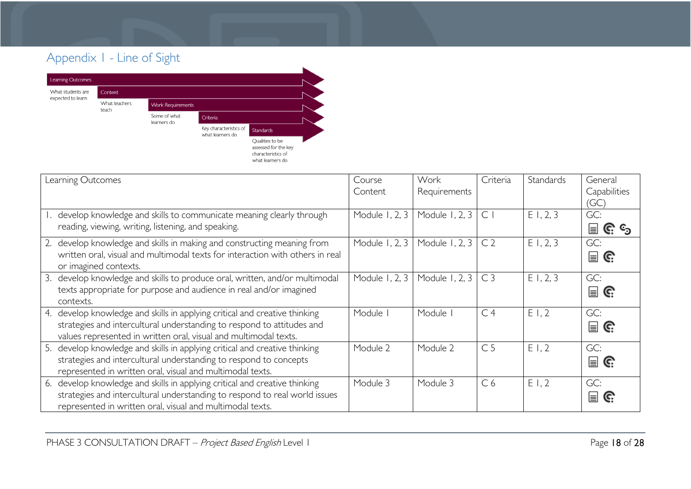# Appendix 1 - Line of Sight



<span id="page-17-0"></span>

| Learning Outcomes                                                                                                                                                                                                        | Course<br>Content | Work<br>Requirements | Criteria       | Standards | General<br>Capabilities              |
|--------------------------------------------------------------------------------------------------------------------------------------------------------------------------------------------------------------------------|-------------------|----------------------|----------------|-----------|--------------------------------------|
| 1. develop knowledge and skills to communicate meaning clearly through<br>reading, viewing, writing, listening, and speaking.                                                                                            | Module 1, 2, 3    | Module 1, 2, 3       | $\subset$      | E1, 2, 3  | (GC)<br>GC:                          |
| 2. develop knowledge and skills in making and constructing meaning from<br>written oral, visual and multimodal texts for interaction with others in real<br>or imagined contexts.                                        | Module 1, 2, 3    | Module 1, 2, 3       | C <sub>2</sub> | E1, 2, 3  | E<br><u>၉</u> ေ<br>GC:<br>$\equiv$ G |
| 3. develop knowledge and skills to produce oral, written, and/or multimodal<br>texts appropriate for purpose and audience in real and/or imagined<br>contexts.                                                           | Module 1, 2, 3    | Module 1, 2, 3       | C <sub>3</sub> | E1, 2, 3  | GC:<br>$\equiv$ G                    |
| 4. develop knowledge and skills in applying critical and creative thinking<br>strategies and intercultural understanding to respond to attitudes and<br>values represented in written oral, visual and multimodal texts. | Module I          | Module I             | C <sub>4</sub> | E1, 2     | GC:<br>Ħ<br>C.                       |
| 5. develop knowledge and skills in applying critical and creative thinking<br>strategies and intercultural understanding to respond to concepts<br>represented in written oral, visual and multimodal texts.             | Module 2          | Module 2             | C <sub>5</sub> | E1,2      | GC:<br>Ħ                             |
| 6. develop knowledge and skills in applying critical and creative thinking<br>strategies and intercultural understanding to respond to real world issues<br>represented in written oral, visual and multimodal texts.    | Module 3          | Module 3             | C <sub>6</sub> | E1,2      | GC:<br>l≡l                           |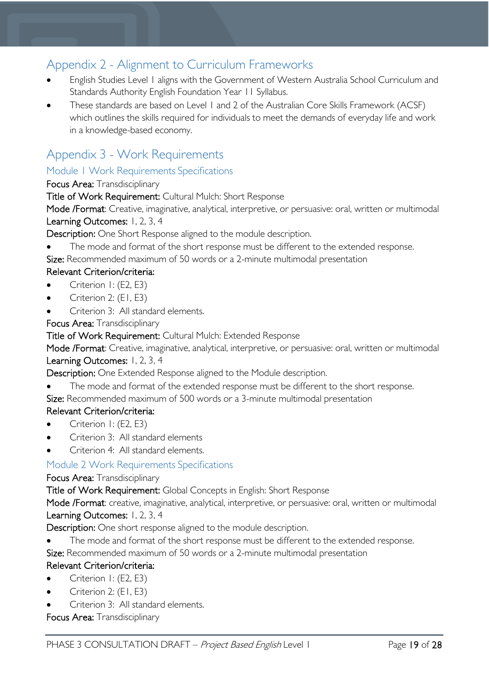# <span id="page-18-0"></span>Appendix 2 - Alignment to Curriculum Frameworks

- English Studies Level 1 aligns with the Government of Western Australia School Curriculum and Standards Authority English Foundation Year 11 Syllabus.
- These standards are based on Level 1 and 2 of the Australian Core Skills Framework (ACSF) which outlines the skills required for individuals to meet the demands of everyday life and work in a knowledge-based economy.

# <span id="page-18-1"></span>Appendix 3 - Work Requirements

# <span id="page-18-2"></span>Module 1 Work Requirements Specifications

# Focus Area: Transdisciplinary

Title of Work Requirement: Cultural Mulch: Short Response

Mode /Format: Creative, imaginative, analytical, interpretive, or persuasive: oral, written or multimodal Learning Outcomes: 1, 2, 3, 4

Description: One Short Response aligned to the module description.

The mode and format of the short response must be different to the extended response.

Size: Recommended maximum of 50 words or a 2-minute multimodal presentation

# Relevant Criterion/criteria:

- Criterion 1: (E2, E3)
- Criterion 2: (E1, E3)
- Criterion 3: All standard elements.

Focus Area: Transdisciplinary

Title of Work Requirement: Cultural Mulch: Extended Response

Mode /Format: Creative, imaginative, analytical, interpretive, or persuasive: oral, written or multimodal Learning Outcomes: 1, 2, 3, 4

Description: One Extended Response aligned to the Module description.

The mode and format of the extended response must be different to the short response.

Size: Recommended maximum of 500 words or a 3-minute multimodal presentation

# Relevant Criterion/criteria:

- Criterion I: (E2, E3)
- Criterion 3: All standard elements
- Criterion 4: All standard elements.

# <span id="page-18-3"></span>Module 2 Work Requirements Specifications

# Focus Area: Transdisciplinary

Title of Work Requirement: Global Concepts in English: Short Response

Mode /Format: creative, imaginative, analytical, interpretive, or persuasive: oral, written or multimodal Learning Outcomes: 1, 2, 3, 4

Description: One short response aligned to the module description.

The mode and format of the short response must be different to the extended response.

Size: Recommended maximum of 50 words or a 2-minute multimodal presentation

# Relevant Criterion/criteria:

- Criterion I: (E2, E3)
- Criterion 2: (E1, E3)
- Criterion 3: All standard elements.

# Focus Area: Transdisciplinary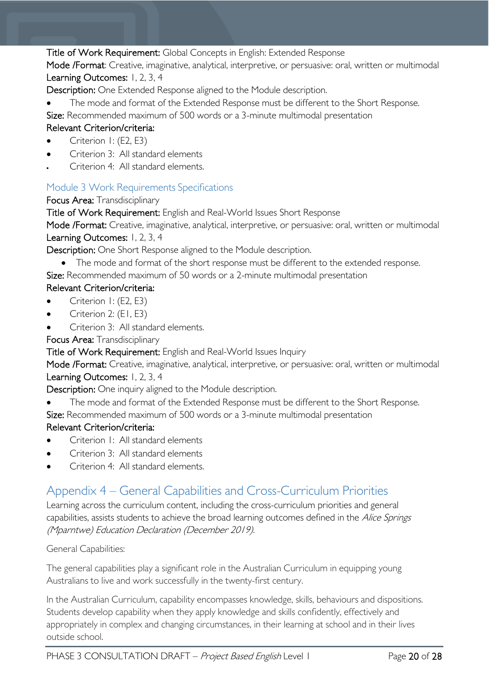### Title of Work Requirement: Global Concepts in English: Extended Response

Mode /Format: Creative, imaginative, analytical, interpretive, or persuasive: oral, written or multimodal Learning Outcomes: 1, 2, 3, 4

Description: One Extended Response aligned to the Module description.

The mode and format of the Extended Response must be different to the Short Response.

Size: Recommended maximum of 500 words or a 3-minute multimodal presentation

# Relevant Criterion/criteria:

- Criterion 1: (E2, E3)
- Criterion 3: All standard elements
- Criterion 4: All standard elements.

# <span id="page-19-0"></span>Module 3 Work Requirements Specifications

# Focus Area: Transdisciplinary

Title of Work Requirement: English and Real-World Issues Short Response

Mode /Format: Creative, imaginative, analytical, interpretive, or persuasive: oral, written or multimodal Learning Outcomes: 1, 2, 3, 4

Description: One Short Response aligned to the Module description.

• The mode and format of the short response must be different to the extended response.

Size: Recommended maximum of 50 words or a 2-minute multimodal presentation

# Relevant Criterion/criteria:

- Criterion I: (E2, E3)
- Criterion 2: (E1, E3)
- Criterion 3: All standard elements.

Focus Area: Transdisciplinary

Title of Work Requirement: English and Real-World Issues Inquiry

Mode /Format: Creative, imaginative, analytical, interpretive, or persuasive: oral, written or multimodal Learning Outcomes: 1, 2, 3, 4

Description: One inquiry aligned to the Module description.

• The mode and format of the Extended Response must be different to the Short Response.

Size: Recommended maximum of 500 words or a 3-minute multimodal presentation

# Relevant Criterion/criteria:

- Criterion 1: All standard elements
- Criterion 3: All standard elements
- Criterion 4: All standard elements.

# <span id="page-19-1"></span>Appendix 4 – General Capabilities and Cross-Curriculum Priorities

Learning across the curriculum content, including the cross-curriculum priorities and general capabilities, assists students to achieve the broad learning outcomes defined in the Alice Springs (Mparntwe) Education Declaration (December 2019).

General Capabilities:

The general capabilities play a significant role in the Australian Curriculum in equipping young Australians to live and work successfully in the twenty-first century.

In the Australian Curriculum, capability encompasses knowledge, skills, behaviours and dispositions. Students develop capability when they apply knowledge and skills confidently, effectively and appropriately in complex and changing circumstances, in their learning at school and in their lives outside school.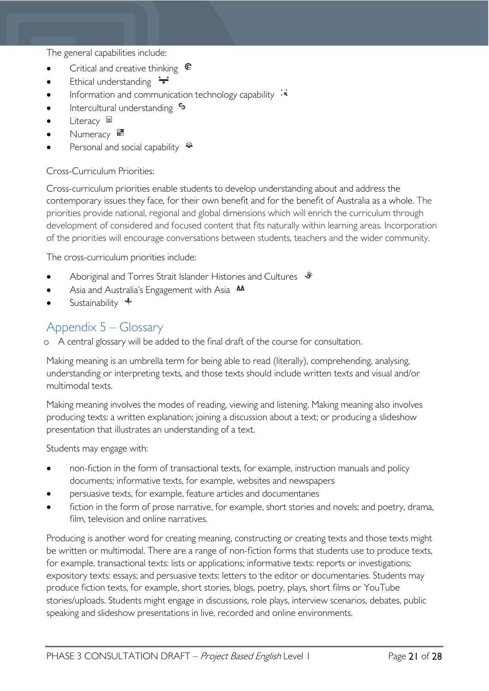The general capabilities include:

- Critical and creative thinking  $\epsilon$
- Ethical understanding  $\div$
- Information and communication technology capability  $\ddot{\cdot}$
- **Intercultural understanding**  $\frac{c_3}{ }$
- Literacy <sup>■</sup>
- Numeracy **\***
- Personal and social capability  $\ddot{\ddot{}}$

# Cross-Curriculum Priorities:

Cross-curriculum priorities enable students to develop understanding about and address the contemporary issues they face, for their own benefit and for the benefit of Australia as a whole. The priorities provide national, regional and global dimensions which will enrich the curriculum through development of considered and focused content that fits naturally within learning areas. Incorporation of the priorities will encourage conversations between students, teachers and the wider community.

The cross-curriculum priorities include:

- Aboriginal and Torres Strait Islander Histories and Cultures  $\mathcal$
- Asia and Australia's Engagement with Asia **AA**
- Sustainability  $\triangleq$

# <span id="page-20-0"></span>Appendix 5 – Glossary

o A central glossary will be added to the final draft of the course for consultation.

Making meaning is an umbrella term for being able to read (literally), comprehending, analysing, understanding or interpreting texts, and those texts should include written texts and visual and/or multimodal texts.

Making meaning involves the modes of reading, viewing and listening. Making meaning also involves producing texts: a written explanation; joining a discussion about a text; or producing a slideshow presentation that illustrates an understanding of a text.

Students may engage with:

- non-fiction in the form of transactional texts, for example, instruction manuals and policy documents; informative texts, for example, websites and newspapers
- persuasive texts, for example, feature articles and documentaries
- fiction in the form of prose narrative, for example, short stories and novels; and poetry, drama, film, television and online narratives.

Producing is another word for creating meaning, constructing or creating texts and those texts might be written or multimodal. There are a range of non-fiction forms that students use to produce texts, for example, transactional texts: lists or applications; informative texts: reports or investigations; expository texts: essays; and persuasive texts: letters to the editor or documentaries. Students may produce fiction texts, for example, short stories, blogs, poetry, plays, short films or YouTube stories/uploads. Students might engage in discussions, role plays, interview scenarios, debates, public speaking and slideshow presentations in live, recorded and online environments.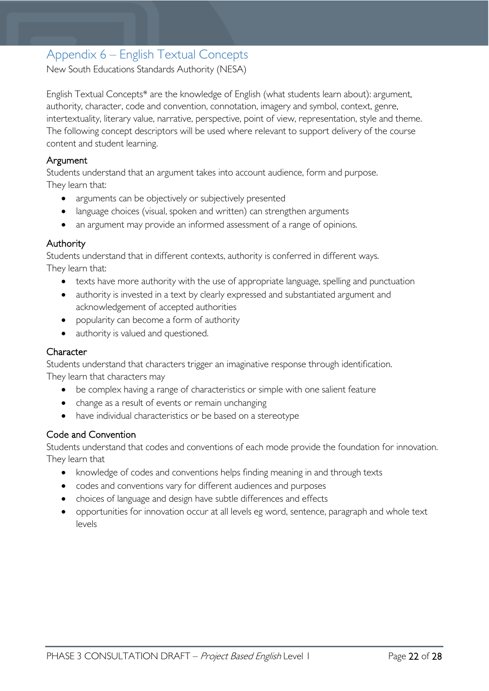# <span id="page-21-0"></span>Appendix 6 – English Textual Concepts

New South Educations Standards Authority (NESA)

English Textual Concepts\* are the knowledge of English (what students learn about): argument, authority, character, code and convention, connotation, imagery and symbol, context, genre, intertextuality, literary value, narrative, perspective, point of view, representation, style and theme. The following concept descriptors will be used where relevant to support delivery of the course content and student learning.

#### Argument

Students understand that an argument takes into account audience, form and purpose. They learn that:

- arguments can be objectively or subjectively presented
- language choices (visual, spoken and written) can strengthen arguments
- an argument may provide an informed assessment of a range of opinions.

# Authority

Students understand that in different contexts, authority is conferred in different ways. They learn that:

- texts have more authority with the use of appropriate language, spelling and punctuation
- authority is invested in a text by clearly expressed and substantiated argument and acknowledgement of accepted authorities
- popularity can become a form of authority
- authority is valued and questioned.

# **Character**

Students understand that characters trigger an imaginative response through identification. They learn that characters may

- be complex having a range of characteristics or simple with one salient feature
- change as a result of events or remain unchanging
- have individual characteristics or be based on a stereotype

# Code and Convention

Students understand that codes and conventions of each mode provide the foundation for innovation. They learn that

- knowledge of codes and conventions helps finding meaning in and through texts
- codes and conventions vary for different audiences and purposes
- choices of language and design have subtle differences and effects
- opportunities for innovation occur at all levels eg word, sentence, paragraph and whole text levels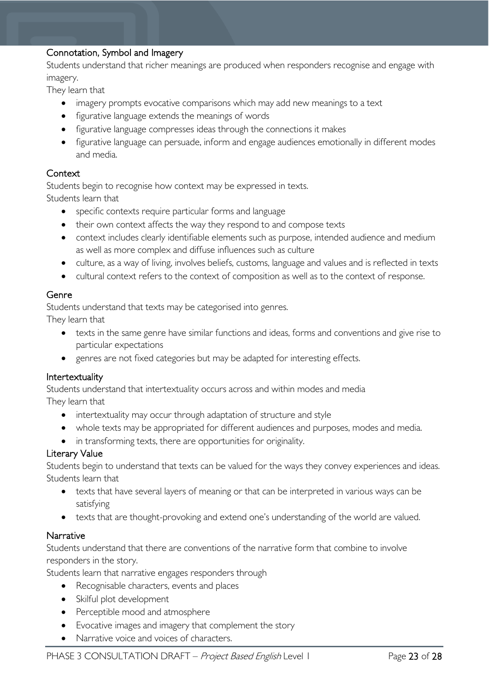### Connotation, Symbol and Imagery

Students understand that richer meanings are produced when responders recognise and engage with imagery.

They learn that

- imagery prompts evocative comparisons which may add new meanings to a text
- figurative language extends the meanings of words
- figurative language compresses ideas through the connections it makes
- figurative language can persuade, inform and engage audiences emotionally in different modes and media.

#### **Context**

Students begin to recognise how context may be expressed in texts. Students learn that

- specific contexts require particular forms and language
- their own context affects the way they respond to and compose texts
- context includes clearly identifiable elements such as purpose, intended audience and medium as well as more complex and diffuse influences such as culture
- culture, as a way of living, involves beliefs, customs, language and values and is reflected in texts
- cultural context refers to the context of composition as well as to the context of response.

#### Genre

Students understand that texts may be categorised into genres.

They learn that

- texts in the same genre have similar functions and ideas, forms and conventions and give rise to particular expectations
- genres are not fixed categories but may be adapted for interesting effects.

#### Intertextuality

Students understand that intertextuality occurs across and within modes and media They learn that

- intertextuality may occur through adaptation of structure and style
- whole texts may be appropriated for different audiences and purposes, modes and media.
- in transforming texts, there are opportunities for originality.

#### Literary Value

Students begin to understand that texts can be valued for the ways they convey experiences and ideas. Students learn that

- texts that have several layers of meaning or that can be interpreted in various ways can be satisfying
- texts that are thought-provoking and extend one's understanding of the world are valued.

#### Narrative

Students understand that there are conventions of the narrative form that combine to involve responders in the story.

Students learn that narrative engages responders through

- Recognisable characters, events and places
- Skilful plot development
- Perceptible mood and atmosphere
- Evocative images and imagery that complement the story
- Narrative voice and voices of characters.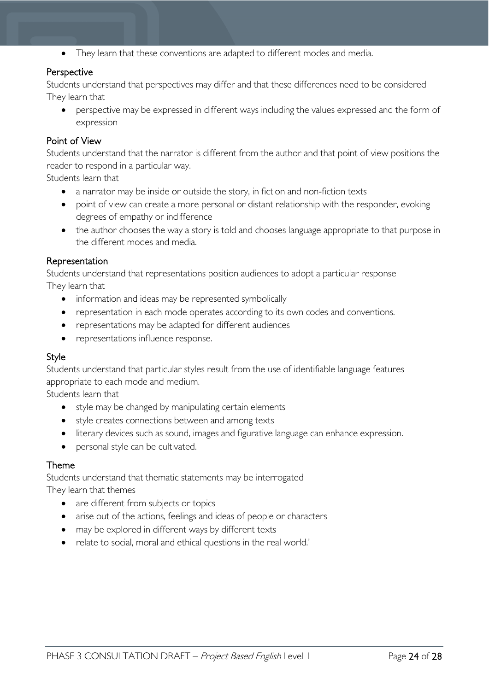• They learn that these conventions are adapted to different modes and media.

#### **Perspective**

Students understand that perspectives may differ and that these differences need to be considered They learn that

• perspective may be expressed in different ways including the values expressed and the form of expression

#### Point of View

Students understand that the narrator is different from the author and that point of view positions the reader to respond in a particular way.

Students learn that

- a narrator may be inside or outside the story, in fiction and non-fiction texts
- point of view can create a more personal or distant relationship with the responder, evoking degrees of empathy or indifference
- the author chooses the way a story is told and chooses language appropriate to that purpose in the different modes and media.

#### Representation

Students understand that representations position audiences to adopt a particular response They learn that

- information and ideas may be represented symbolically
- representation in each mode operates according to its own codes and conventions.
- representations may be adapted for different audiences
- representations influence response.

#### Style

Students understand that particular styles result from the use of identifiable language features appropriate to each mode and medium.

Students learn that

- style may be changed by manipulating certain elements
- style creates connections between and among texts
- literary devices such as sound, images and figurative language can enhance expression.
- personal style can be cultivated.

#### Theme

Students understand that thematic statements may be interrogated They learn that themes

- are different from subjects or topics
- arise out of the actions, feelings and ideas of people or characters
- may be explored in different ways by different texts
- relate to social, moral and ethical questions in the real world.'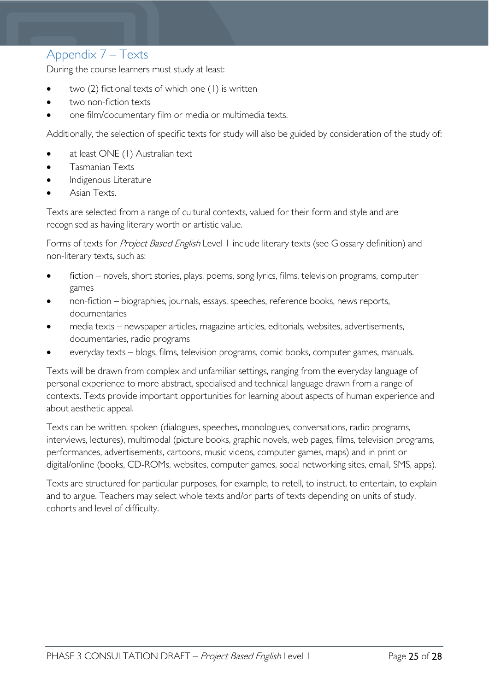# <span id="page-24-0"></span>Appendix 7 – Texts

During the course learners must study at least:

- two (2) fictional texts of which one (1) is written
- two non-fiction texts
- one film/documentary film or media or multimedia texts.

Additionally, the selection of specific texts for study will also be guided by consideration of the study of:

- at least ONE (1) Australian text
- Tasmanian Texts
- Indigenous Literature
- Asian Texts.

Texts are selected from a range of cultural contexts, valued for their form and style and are recognised as having literary worth or artistic value.

Forms of texts for *Project Based English* Level 1 include literary texts (see Glossary definition) and non-literary texts, such as:

- fiction novels, short stories, plays, poems, song lyrics, films, television programs, computer games
- non-fiction biographies, journals, essays, speeches, reference books, news reports, documentaries
- media texts newspaper articles, magazine articles, editorials, websites, advertisements, documentaries, radio programs
- everyday texts blogs, films, television programs, comic books, computer games, manuals.

Texts will be drawn from complex and unfamiliar settings, ranging from the everyday language of personal experience to more abstract, specialised and technical language drawn from a range of contexts. Texts provide important opportunities for learning about aspects of human experience and about aesthetic appeal.

Texts can be written, spoken (dialogues, speeches, monologues, conversations, radio programs, interviews, lectures), multimodal (picture books, graphic novels, web pages, films, television programs, performances, advertisements, cartoons, music videos, computer games, maps) and in print or digital/online (books, CD-ROMs, websites, computer games, social networking sites, email, SMS, apps).

Texts are structured for particular purposes, for example, to retell, to instruct, to entertain, to explain and to argue. Teachers may select whole texts and/or parts of texts depending on units of study, cohorts and level of difficulty.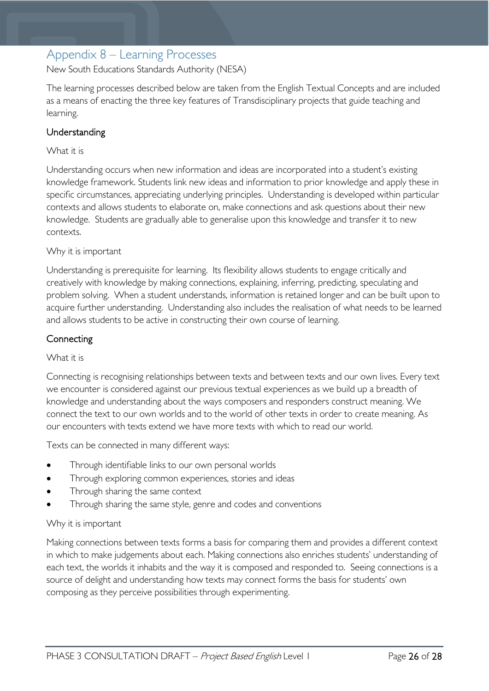# <span id="page-25-0"></span>Appendix 8 – Learning Processes

New South Educations Standards Authority (NESA)

The learning processes described below are taken from the English Textual Concepts and are included as a means of enacting the three key features of Transdisciplinary projects that guide teaching and learning.

### Understanding

#### What it is

Understanding occurs when new information and ideas are incorporated into a student's existing knowledge framework. Students link new ideas and information to prior knowledge and apply these in specific circumstances, appreciating underlying principles. Understanding is developed within particular contexts and allows students to elaborate on, make connections and ask questions about their new knowledge. Students are gradually able to generalise upon this knowledge and transfer it to new contexts.

#### Why it is important

Understanding is prerequisite for learning. Its flexibility allows students to engage critically and creatively with knowledge by making connections, explaining, inferring, predicting, speculating and problem solving. When a student understands, information is retained longer and can be built upon to acquire further understanding. Understanding also includes the realisation of what needs to be learned and allows students to be active in constructing their own course of learning.

#### **Connecting**

#### What it is

Connecting is recognising relationships between texts and between texts and our own lives. Every text we encounter is considered against our previous textual experiences as we build up a breadth of knowledge and understanding about the ways composers and responders construct meaning. We connect the text to our own worlds and to the world of other texts in order to create meaning. As our encounters with texts extend we have more texts with which to read our world.

Texts can be connected in many different ways:

- Through identifiable links to our own personal worlds
- Through exploring common experiences, stories and ideas
- Through sharing the same context
- Through sharing the same style, genre and codes and conventions

#### Why it is important

Making connections between texts forms a basis for comparing them and provides a different context in which to make judgements about each. Making connections also enriches students' understanding of each text, the worlds it inhabits and the way it is composed and responded to. Seeing connections is a source of delight and understanding how texts may connect forms the basis for students' own composing as they perceive possibilities through experimenting.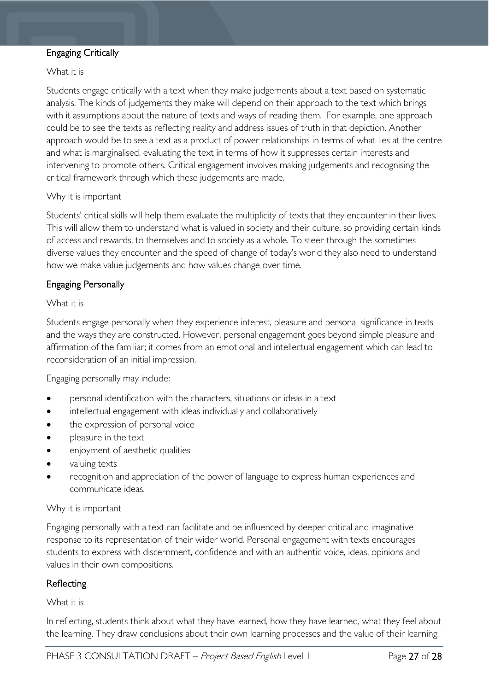### Engaging Critically

#### What it is

Students engage critically with a text when they make judgements about a text based on systematic analysis. The kinds of judgements they make will depend on their approach to the text which brings with it assumptions about the nature of texts and ways of reading them. For example, one approach could be to see the texts as reflecting reality and address issues of truth in that depiction. Another approach would be to see a text as a product of power relationships in terms of what lies at the centre and what is marginalised, evaluating the text in terms of how it suppresses certain interests and intervening to promote others. Critical engagement involves making judgements and recognising the critical framework through which these judgements are made.

#### Why it is important

Students' critical skills will help them evaluate the multiplicity of texts that they encounter in their lives. This will allow them to understand what is valued in society and their culture, so providing certain kinds of access and rewards, to themselves and to society as a whole. To steer through the sometimes diverse values they encounter and the speed of change of today's world they also need to understand how we make value judgements and how values change over time.

### Engaging Personally

#### What it is

Students engage personally when they experience interest, pleasure and personal significance in texts and the ways they are constructed. However, personal engagement goes beyond simple pleasure and affirmation of the familiar; it comes from an emotional and intellectual engagement which can lead to reconsideration of an initial impression.

Engaging personally may include:

- personal identification with the characters, situations or ideas in a text
- intellectual engagement with ideas individually and collaboratively
- the expression of personal voice
- pleasure in the text
- enjoyment of aesthetic qualities
- valuing texts
- recognition and appreciation of the power of language to express human experiences and communicate ideas.

#### Why it is important

Engaging personally with a text can facilitate and be influenced by deeper critical and imaginative response to its representation of their wider world. Personal engagement with texts encourages students to express with discernment, confidence and with an authentic voice, ideas, opinions and values in their own compositions.

#### Reflecting

#### What it is

In reflecting, students think about what they have learned, how they have learned, what they feel about the learning. They draw conclusions about their own learning processes and the value of their learning.